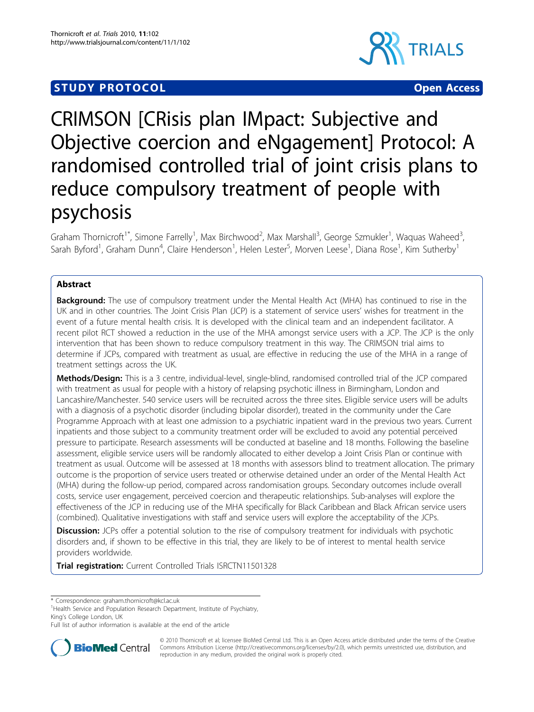## **STUDY PROTOCOL CONSUMING ACCESS**



# CRIMSON [CRisis plan IMpact: Subjective and Objective coercion and eNgagement] Protocol: A randomised controlled trial of joint crisis plans to reduce compulsory treatment of people with psychosis

Graham Thornicroft<sup>1\*</sup>, Simone Farrelly<sup>1</sup>, Max Birchwood<sup>2</sup>, Max Marshall<sup>3</sup>, George Szmukler<sup>1</sup>, Waquas Waheed<sup>3</sup> , Sarah Byford<sup>1</sup>, Graham Dunn<sup>4</sup>, Claire Henderson<sup>1</sup>, Helen Lester<sup>5</sup>, Morven Leese<sup>1</sup>, Diana Rose<sup>1</sup>, Kim Sutherby<sup>1</sup>

## Abstract

**Background:** The use of compulsory treatment under the Mental Health Act (MHA) has continued to rise in the UK and in other countries. The Joint Crisis Plan (JCP) is a statement of service users' wishes for treatment in the event of a future mental health crisis. It is developed with the clinical team and an independent facilitator. A recent pilot RCT showed a reduction in the use of the MHA amongst service users with a JCP. The JCP is the only intervention that has been shown to reduce compulsory treatment in this way. The CRIMSON trial aims to determine if JCPs, compared with treatment as usual, are effective in reducing the use of the MHA in a range of treatment settings across the UK.

Methods/Design: This is a 3 centre, individual-level, single-blind, randomised controlled trial of the JCP compared with treatment as usual for people with a history of relapsing psychotic illness in Birmingham, London and Lancashire/Manchester. 540 service users will be recruited across the three sites. Eligible service users will be adults with a diagnosis of a psychotic disorder (including bipolar disorder), treated in the community under the Care Programme Approach with at least one admission to a psychiatric inpatient ward in the previous two years. Current inpatients and those subject to a community treatment order will be excluded to avoid any potential perceived pressure to participate. Research assessments will be conducted at baseline and 18 months. Following the baseline assessment, eligible service users will be randomly allocated to either develop a Joint Crisis Plan or continue with treatment as usual. Outcome will be assessed at 18 months with assessors blind to treatment allocation. The primary outcome is the proportion of service users treated or otherwise detained under an order of the Mental Health Act (MHA) during the follow-up period, compared across randomisation groups. Secondary outcomes include overall costs, service user engagement, perceived coercion and therapeutic relationships. Sub-analyses will explore the effectiveness of the JCP in reducing use of the MHA specifically for Black Caribbean and Black African service users (combined). Qualitative investigations with staff and service users will explore the acceptability of the JCPs.

**Discussion:** JCPs offer a potential solution to the rise of compulsory treatment for individuals with psychotic disorders and, if shown to be effective in this trial, they are likely to be of interest to mental health service providers worldwide.

Trial registration: Current Controlled Trials ISRCTN11501328

\* Correspondence: [graham.thornicroft@kcl.ac.uk](mailto:graham.thornicroft@kcl.ac.uk)

<sup>1</sup> Health Service and Population Research Department, Institute of Psychiatry, King's College London, UK

Full list of author information is available at the end of the article



© 2010 Thornicroft et al; licensee BioMed Central Ltd. This is an Open Access article distributed under the terms of the Creative Commons Attribution License [\(http://creativecommons.org/licenses/by/2.0](http://creativecommons.org/licenses/by/2.0)), which permits unrestricted use, distribution, and reproduction in any medium, provided the original work is properly cited.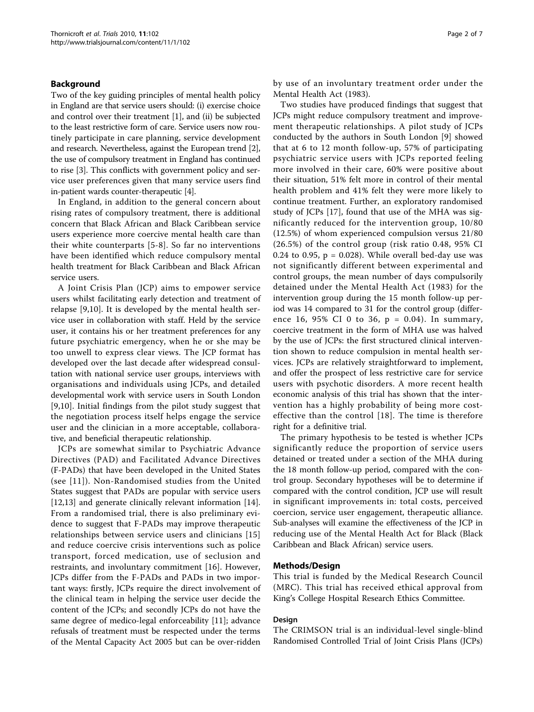## Background

Two of the key guiding principles of mental health policy in England are that service users should: (i) exercise choice and control over their treatment [[1\]](#page-5-0), and (ii) be subjected to the least restrictive form of care. Service users now routinely participate in care planning, service development and research. Nevertheless, against the European trend [[2](#page-5-0)], the use of compulsory treatment in England has continued to rise [\[3\]](#page-5-0). This conflicts with government policy and service user preferences given that many service users find in-patient wards counter-therapeutic [[4\]](#page-5-0).

In England, in addition to the general concern about rising rates of compulsory treatment, there is additional concern that Black African and Black Caribbean service users experience more coercive mental health care than their white counterparts [[5](#page-5-0)-[8\]](#page-5-0). So far no interventions have been identified which reduce compulsory mental health treatment for Black Caribbean and Black African service users.

A Joint Crisis Plan (JCP) aims to empower service users whilst facilitating early detection and treatment of relapse [\[9](#page-5-0),[10\]](#page-5-0). It is developed by the mental health service user in collaboration with staff. Held by the service user, it contains his or her treatment preferences for any future psychiatric emergency, when he or she may be too unwell to express clear views. The JCP format has developed over the last decade after widespread consultation with national service user groups, interviews with organisations and individuals using JCPs, and detailed developmental work with service users in South London [[9,10](#page-5-0)]. Initial findings from the pilot study suggest that the negotiation process itself helps engage the service user and the clinician in a more acceptable, collaborative, and beneficial therapeutic relationship.

JCPs are somewhat similar to Psychiatric Advance Directives (PAD) and Facilitated Advance Directives (F-PADs) that have been developed in the United States (see [[11](#page-5-0)]). Non-Randomised studies from the United States suggest that PADs are popular with service users [[12,13\]](#page-5-0) and generate clinically relevant information [\[14](#page-5-0)]. From a randomised trial, there is also preliminary evidence to suggest that F-PADs may improve therapeutic relationships between service users and clinicians [[15](#page-5-0)] and reduce coercive crisis interventions such as police transport, forced medication, use of seclusion and restraints, and involuntary commitment [[16](#page-5-0)]. However, JCPs differ from the F-PADs and PADs in two important ways: firstly, JCPs require the direct involvement of the clinical team in helping the service user decide the content of the JCPs; and secondly JCPs do not have the same degree of medico-legal enforceability [\[11](#page-5-0)]; advance refusals of treatment must be respected under the terms of the Mental Capacity Act 2005 but can be over-ridden by use of an involuntary treatment order under the Mental Health Act (1983).

Two studies have produced findings that suggest that JCPs might reduce compulsory treatment and improvement therapeutic relationships. A pilot study of JCPs conducted by the authors in South London [[9\]](#page-5-0) showed that at 6 to 12 month follow-up, 57% of participating psychiatric service users with JCPs reported feeling more involved in their care, 60% were positive about their situation, 51% felt more in control of their mental health problem and 41% felt they were more likely to continue treatment. Further, an exploratory randomised study of JCPs [\[17](#page-5-0)], found that use of the MHA was significantly reduced for the intervention group, 10/80 (12.5%) of whom experienced compulsion versus 21/80 (26.5%) of the control group (risk ratio 0.48, 95% CI 0.24 to 0.95,  $p = 0.028$ ). While overall bed-day use was not significantly different between experimental and control groups, the mean number of days compulsorily detained under the Mental Health Act (1983) for the intervention group during the 15 month follow-up period was 14 compared to 31 for the control group (difference 16, 95% CI 0 to 36,  $p = 0.04$ ). In summary, coercive treatment in the form of MHA use was halved by the use of JCPs: the first structured clinical intervention shown to reduce compulsion in mental health services. JCPs are relatively straightforward to implement, and offer the prospect of less restrictive care for service users with psychotic disorders. A more recent health economic analysis of this trial has shown that the intervention has a highly probability of being more costeffective than the control [[18\]](#page-6-0). The time is therefore right for a definitive trial.

The primary hypothesis to be tested is whether JCPs significantly reduce the proportion of service users detained or treated under a section of the MHA during the 18 month follow-up period, compared with the control group. Secondary hypotheses will be to determine if compared with the control condition, JCP use will result in significant improvements in: total costs, perceived coercion, service user engagement, therapeutic alliance. Sub-analyses will examine the effectiveness of the JCP in reducing use of the Mental Health Act for Black (Black Caribbean and Black African) service users.

#### Methods/Design

This trial is funded by the Medical Research Council (MRC). This trial has received ethical approval from King's College Hospital Research Ethics Committee.

#### Design

The CRIMSON trial is an individual-level single-blind Randomised Controlled Trial of Joint Crisis Plans (JCPs)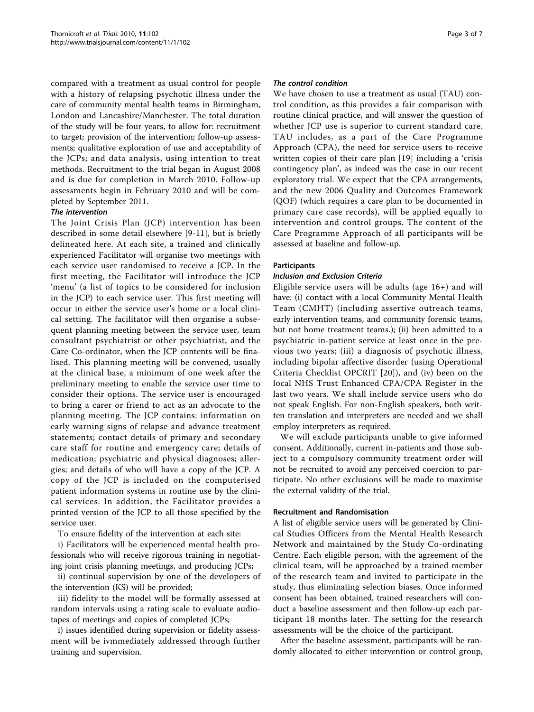compared with a treatment as usual control for people with a history of relapsing psychotic illness under the care of community mental health teams in Birmingham, London and Lancashire/Manchester. The total duration of the study will be four years, to allow for: recruitment to target; provision of the intervention; follow-up assessments; qualitative exploration of use and acceptability of the JCPs; and data analysis, using intention to treat methods. Recruitment to the trial began in August 2008 and is due for completion in March 2010. Follow-up assessments begin in February 2010 and will be completed by September 2011.

#### The intervention

The Joint Crisis Plan (JCP) intervention has been described in some detail elsewhere [[9-11](#page-5-0)], but is briefly delineated here. At each site, a trained and clinically experienced Facilitator will organise two meetings with each service user randomised to receive a JCP. In the first meeting, the Facilitator will introduce the JCP 'menu' (a list of topics to be considered for inclusion in the JCP) to each service user. This first meeting will occur in either the service user's home or a local clinical setting. The facilitator will then organise a subsequent planning meeting between the service user, team consultant psychiatrist or other psychiatrist, and the Care Co-ordinator, when the JCP contents will be finalised. This planning meeting will be convened, usually at the clinical base, a minimum of one week after the preliminary meeting to enable the service user time to consider their options. The service user is encouraged to bring a carer or friend to act as an advocate to the planning meeting. The JCP contains: information on early warning signs of relapse and advance treatment statements; contact details of primary and secondary care staff for routine and emergency care; details of medication; psychiatric and physical diagnoses; allergies; and details of who will have a copy of the JCP. A copy of the JCP is included on the computerised patient information systems in routine use by the clinical services. In addition, the Facilitator provides a printed version of the JCP to all those specified by the service user.

To ensure fidelity of the intervention at each site:

i) Facilitators will be experienced mental health professionals who will receive rigorous training in negotiating joint crisis planning meetings, and producing JCPs;

ii) continual supervision by one of the developers of the intervention (KS) will be provided;

iii) fidelity to the model will be formally assessed at random intervals using a rating scale to evaluate audiotapes of meetings and copies of completed JCPs;

i) issues identified during supervision or fidelity assessment will be ivmmediately addressed through further training and supervision.

#### The control condition

We have chosen to use a treatment as usual (TAU) control condition, as this provides a fair comparison with routine clinical practice, and will answer the question of whether JCP use is superior to current standard care. TAU includes, as a part of the Care Programme Approach (CPA), the need for service users to receive written copies of their care plan [[19\]](#page-6-0) including a 'crisis contingency plan', as indeed was the case in our recent exploratory trial. We expect that the CPA arrangements, and the new 2006 Quality and Outcomes Framework (QOF) (which requires a care plan to be documented in primary care case records), will be applied equally to intervention and control groups. The content of the Care Programme Approach of all participants will be assessed at baseline and follow-up.

#### Participants

## Inclusion and Exclusion Criteria

Eligible service users will be adults (age 16+) and will have: (i) contact with a local Community Mental Health Team (CMHT) (including assertive outreach teams, early intervention teams, and community forensic teams, but not home treatment teams.); (ii) been admitted to a psychiatric in-patient service at least once in the previous two years; (iii) a diagnosis of psychotic illness, including bipolar affective disorder (using Operational Criteria Checklist OPCRIT [[20\]](#page-6-0)), and (iv) been on the local NHS Trust Enhanced CPA/CPA Register in the last two years. We shall include service users who do not speak English. For non-English speakers, both written translation and interpreters are needed and we shall employ interpreters as required.

We will exclude participants unable to give informed consent. Additionally, current in-patients and those subject to a compulsory community treatment order will not be recruited to avoid any perceived coercion to participate. No other exclusions will be made to maximise the external validity of the trial.

#### Recruitment and Randomisation

A list of eligible service users will be generated by Clinical Studies Officers from the Mental Health Research Network and maintained by the Study Co-ordinating Centre. Each eligible person, with the agreement of the clinical team, will be approached by a trained member of the research team and invited to participate in the study, thus eliminating selection biases. Once informed consent has been obtained, trained researchers will conduct a baseline assessment and then follow-up each participant 18 months later. The setting for the research assessments will be the choice of the participant.

After the baseline assessment, participants will be randomly allocated to either intervention or control group,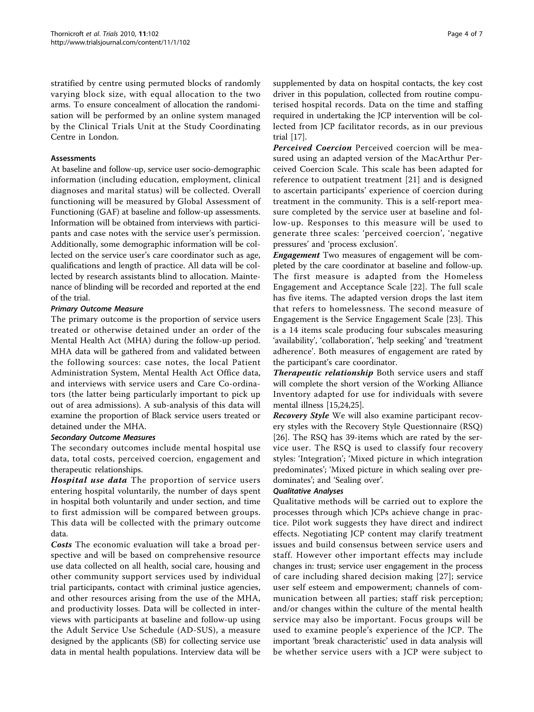stratified by centre using permuted blocks of randomly varying block size, with equal allocation to the two arms. To ensure concealment of allocation the randomisation will be performed by an online system managed by the Clinical Trials Unit at the Study Coordinating Centre in London.

## Assessments

At baseline and follow-up, service user socio-demographic information (including education, employment, clinical diagnoses and marital status) will be collected. Overall functioning will be measured by Global Assessment of Functioning (GAF) at baseline and follow-up assessments. Information will be obtained from interviews with participants and case notes with the service user's permission. Additionally, some demographic information will be collected on the service user's care coordinator such as age, qualifications and length of practice. All data will be collected by research assistants blind to allocation. Maintenance of blinding will be recorded and reported at the end of the trial.

### Primary Outcome Measure

The primary outcome is the proportion of service users treated or otherwise detained under an order of the Mental Health Act (MHA) during the follow-up period. MHA data will be gathered from and validated between the following sources: case notes, the local Patient Administration System, Mental Health Act Office data, and interviews with service users and Care Co-ordinators (the latter being particularly important to pick up out of area admissions). A sub-analysis of this data will examine the proportion of Black service users treated or detained under the MHA.

#### Secondary Outcome Measures

The secondary outcomes include mental hospital use data, total costs, perceived coercion, engagement and therapeutic relationships.

Hospital use data The proportion of service users entering hospital voluntarily, the number of days spent in hospital both voluntarily and under section, and time to first admission will be compared between groups. This data will be collected with the primary outcome data.

Costs The economic evaluation will take a broad perspective and will be based on comprehensive resource use data collected on all health, social care, housing and other community support services used by individual trial participants, contact with criminal justice agencies, and other resources arising from the use of the MHA, and productivity losses. Data will be collected in interviews with participants at baseline and follow-up using the Adult Service Use Schedule (AD-SUS), a measure designed by the applicants (SB) for collecting service use data in mental health populations. Interview data will be supplemented by data on hospital contacts, the key cost driver in this population, collected from routine computerised hospital records. Data on the time and staffing required in undertaking the JCP intervention will be collected from JCP facilitator records, as in our previous trial [\[17](#page-5-0)].

Perceived Coercion Perceived coercion will be measured using an adapted version of the MacArthur Perceived Coercion Scale. This scale has been adapted for reference to outpatient treatment [\[21\]](#page-6-0) and is designed to ascertain participants' experience of coercion during treatment in the community. This is a self-report measure completed by the service user at baseline and follow-up. Responses to this measure will be used to generate three scales: 'perceived coercion', 'negative pressures' and 'process exclusion'.

**Engagement** Two measures of engagement will be completed by the care coordinator at baseline and follow-up. The first measure is adapted from the Homeless Engagement and Acceptance Scale [[22](#page-6-0)]. The full scale has five items. The adapted version drops the last item that refers to homelessness. The second measure of Engagement is the Service Engagement Scale [\[23](#page-6-0)]. This is a 14 items scale producing four subscales measuring 'availability', 'collaboration', 'help seeking' and 'treatment adherence'. Both measures of engagement are rated by the participant's care coordinator.

Therapeutic relationship Both service users and staff will complete the short version of the Working Alliance Inventory adapted for use for individuals with severe mental illness [\[15](#page-5-0)[,24,25\]](#page-6-0).

Recovery Style We will also examine participant recovery styles with the Recovery Style Questionnaire (RSQ) [[26\]](#page-6-0). The RSQ has 39-items which are rated by the service user. The RSQ is used to classify four recovery styles: 'Integration'; 'Mixed picture in which integration predominates'; 'Mixed picture in which sealing over predominates'; and 'Sealing over'.

## Qualitative Analyses

Qualitative methods will be carried out to explore the processes through which JCPs achieve change in practice. Pilot work suggests they have direct and indirect effects. Negotiating JCP content may clarify treatment issues and build consensus between service users and staff. However other important effects may include changes in: trust; service user engagement in the process of care including shared decision making [[27](#page-6-0)]; service user self esteem and empowerment; channels of communication between all parties; staff risk perception; and/or changes within the culture of the mental health service may also be important. Focus groups will be used to examine people's experience of the JCP. The important 'break characteristic' used in data analysis will be whether service users with a JCP were subject to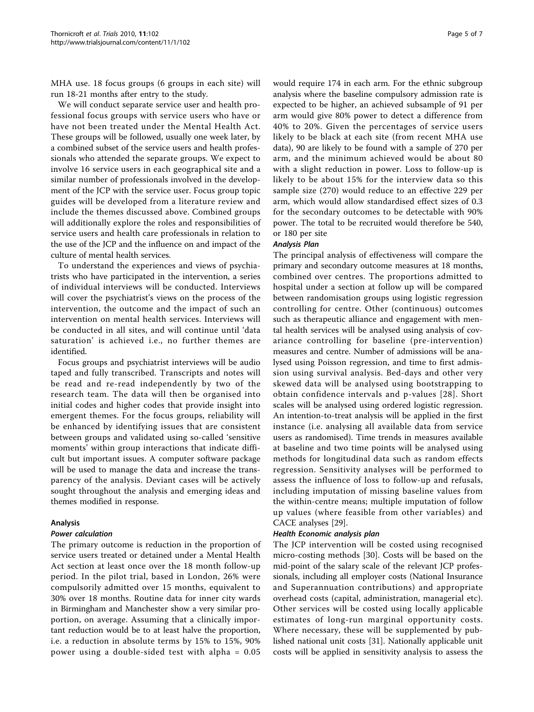MHA use. 18 focus groups (6 groups in each site) will run 18-21 months after entry to the study.

We will conduct separate service user and health professional focus groups with service users who have or have not been treated under the Mental Health Act. These groups will be followed, usually one week later, by a combined subset of the service users and health professionals who attended the separate groups. We expect to involve 16 service users in each geographical site and a similar number of professionals involved in the development of the JCP with the service user. Focus group topic guides will be developed from a literature review and include the themes discussed above. Combined groups will additionally explore the roles and responsibilities of service users and health care professionals in relation to the use of the JCP and the influence on and impact of the culture of mental health services.

To understand the experiences and views of psychiatrists who have participated in the intervention, a series of individual interviews will be conducted. Interviews will cover the psychiatrist's views on the process of the intervention, the outcome and the impact of such an intervention on mental health services. Interviews will be conducted in all sites, and will continue until 'data saturation' is achieved i.e., no further themes are identified.

Focus groups and psychiatrist interviews will be audio taped and fully transcribed. Transcripts and notes will be read and re-read independently by two of the research team. The data will then be organised into initial codes and higher codes that provide insight into emergent themes. For the focus groups, reliability will be enhanced by identifying issues that are consistent between groups and validated using so-called 'sensitive moments' within group interactions that indicate difficult but important issues. A computer software package will be used to manage the data and increase the transparency of the analysis. Deviant cases will be actively sought throughout the analysis and emerging ideas and themes modified in response.

#### Analysis

#### Power calculation

The primary outcome is reduction in the proportion of service users treated or detained under a Mental Health Act section at least once over the 18 month follow-up period. In the pilot trial, based in London, 26% were compulsorily admitted over 15 months, equivalent to 30% over 18 months. Routine data for inner city wards in Birmingham and Manchester show a very similar proportion, on average. Assuming that a clinically important reduction would be to at least halve the proportion, i.e. a reduction in absolute terms by 15% to 15%, 90% power using a double-sided test with alpha = 0.05 would require 174 in each arm. For the ethnic subgroup analysis where the baseline compulsory admission rate is expected to be higher, an achieved subsample of 91 per arm would give 80% power to detect a difference from 40% to 20%. Given the percentages of service users likely to be black at each site (from recent MHA use data), 90 are likely to be found with a sample of 270 per arm, and the minimum achieved would be about 80 with a slight reduction in power. Loss to follow-up is likely to be about 15% for the interview data so this sample size (270) would reduce to an effective 229 per arm, which would allow standardised effect sizes of 0.3 for the secondary outcomes to be detectable with 90% power. The total to be recruited would therefore be 540, or 180 per site

#### Analysis Plan

The principal analysis of effectiveness will compare the primary and secondary outcome measures at 18 months, combined over centres. The proportions admitted to hospital under a section at follow up will be compared between randomisation groups using logistic regression controlling for centre. Other (continuous) outcomes such as therapeutic alliance and engagement with mental health services will be analysed using analysis of covariance controlling for baseline (pre-intervention) measures and centre. Number of admissions will be analysed using Poisson regression, and time to first admission using survival analysis. Bed-days and other very skewed data will be analysed using bootstrapping to obtain confidence intervals and p-values [[28\]](#page-6-0). Short scales will be analysed using ordered logistic regression. An intention-to-treat analysis will be applied in the first instance (i.e. analysing all available data from service users as randomised). Time trends in measures available at baseline and two time points will be analysed using methods for longitudinal data such as random effects regression. Sensitivity analyses will be performed to assess the influence of loss to follow-up and refusals, including imputation of missing baseline values from the within-centre means; multiple imputation of follow up values (where feasible from other variables) and CACE analyses [[29\]](#page-6-0).

#### Health Economic analysis plan

The JCP intervention will be costed using recognised micro-costing methods [\[30](#page-6-0)]. Costs will be based on the mid-point of the salary scale of the relevant JCP professionals, including all employer costs (National Insurance and Superannuation contributions) and appropriate overhead costs (capital, administration, managerial etc). Other services will be costed using locally applicable estimates of long-run marginal opportunity costs. Where necessary, these will be supplemented by published national unit costs [\[31](#page-6-0)]. Nationally applicable unit costs will be applied in sensitivity analysis to assess the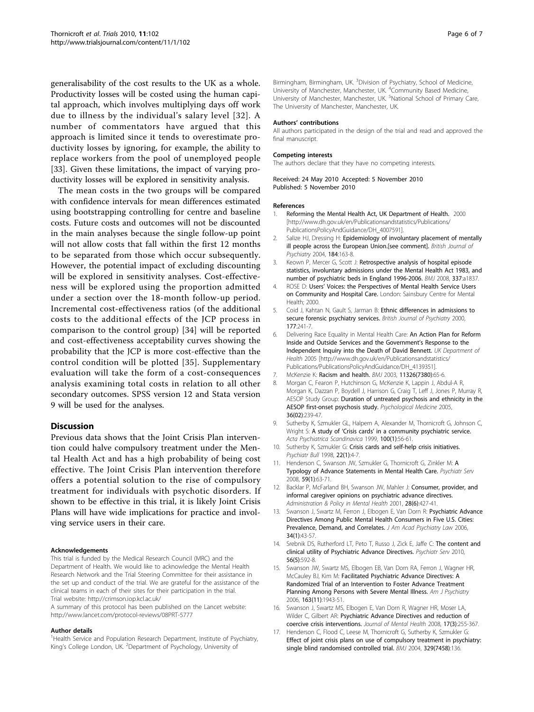<span id="page-5-0"></span>generalisability of the cost results to the UK as a whole. Productivity losses will be costed using the human capital approach, which involves multiplying days off work due to illness by the individual's salary level [[32\]](#page-6-0). A number of commentators have argued that this approach is limited since it tends to overestimate productivity losses by ignoring, for example, the ability to replace workers from the pool of unemployed people [[33\]](#page-6-0). Given these limitations, the impact of varying productivity losses will be explored in sensitivity analysis.

The mean costs in the two groups will be compared with confidence intervals for mean differences estimated using bootstrapping controlling for centre and baseline costs. Future costs and outcomes will not be discounted in the main analyses because the single follow-up point will not allow costs that fall within the first 12 months to be separated from those which occur subsequently. However, the potential impact of excluding discounting will be explored in sensitivity analyses. Cost-effectiveness will be explored using the proportion admitted under a section over the 18-month follow-up period. Incremental cost-effectiveness ratios (of the additional costs to the additional effects of the JCP process in comparison to the control group) [\[34](#page-6-0)] will be reported and cost-effectiveness acceptability curves showing the probability that the JCP is more cost-effective than the control condition will be plotted [[35\]](#page-6-0). Supplementary evaluation will take the form of a cost-consequences analysis examining total costs in relation to all other secondary outcomes. SPSS version 12 and Stata version 9 will be used for the analyses.

#### **Discussion**

Previous data shows that the Joint Crisis Plan intervention could halve compulsory treatment under the Mental Health Act and has a high probability of being cost effective. The Joint Crisis Plan intervention therefore offers a potential solution to the rise of compulsory treatment for individuals with psychotic disorders. If shown to be effective in this trial, it is likely Joint Crisis Plans will have wide implications for practice and involving service users in their care.

#### Acknowledgements

This trial is funded by the Medical Research Council (MRC) and the Department of Health. We would like to acknowledge the Mental Health Research Network and the Trial Steering Committee for their assistance in the set up and conduct of the trial. We are grateful for the assistance of the clinical teams in each of their sites for their participation in the trial. Trial website:<http://crimson.iop.kcl.ac.uk/>

A summary of this protocol has been published on the Lancet website: <http://www.lancet.com/protocol-reviews/08PRT-5777>

#### Author details

<sup>1</sup> Health Service and Population Research Department, Institute of Psychiatry, King's College London, UK. <sup>2</sup>Department of Psychology, University of

Birmingham, Birmingham, UK. <sup>3</sup>Division of Psychiatry, School of Medicine, University of Manchester, Manchester, UK. <sup>4</sup>Community Based Medicine, University of Manchester, Manchester, UK. <sup>5</sup>National School of Primary Care The University of Manchester, Manchester, UK.

#### Authors' contributions

All authors participated in the design of the trial and read and approved the final manuscript.

#### Competing interests

The authors declare that they have no competing interests.

Received: 24 May 2010 Accepted: 5 November 2010 Published: 5 November 2010

#### References

- 1. Reforming the Mental Health Act, UK Department of Health. 2000 [[http://www.dh.gov.uk/en/Publicationsandstatistics/Publications/](http://www.dh.gov.uk/en/Publicationsandstatistics/Publications/PublicationsPolicyAndGuidance/DH_4007591) [PublicationsPolicyAndGuidance/DH\\_4007591\]](http://www.dh.gov.uk/en/Publicationsandstatistics/Publications/PublicationsPolicyAndGuidance/DH_4007591).
- 2. Salize HJ, Dressing H: [Epidemiology of involuntary placement of mentally](http://www.ncbi.nlm.nih.gov/pubmed/14754830?dopt=Abstract) [ill people across the European Union.\[see comment\].](http://www.ncbi.nlm.nih.gov/pubmed/14754830?dopt=Abstract) British Journal of Psychiatry 2004, 184:163-8.
- 3. Keown P, Mercer G, Scott J: [Retrospective analysis of hospital episode](http://www.ncbi.nlm.nih.gov/pubmed/18845592?dopt=Abstract) [statistics, involuntary admissions under the Mental Health Act 1983, and](http://www.ncbi.nlm.nih.gov/pubmed/18845592?dopt=Abstract) [number of psychiatric beds in England 1996-2006.](http://www.ncbi.nlm.nih.gov/pubmed/18845592?dopt=Abstract) BMJ 2008, 337:a1837.
- 4. ROSE D: Users' Voices: the Perspectives of Mental Health Service Users on Community and Hospital Care. London: Sainsbury Centre for Mental Health; 2000.
- 5. Coid J, Kahtan N, Gault S, Jarman B: [Ethnic differences in admissions to](http://www.ncbi.nlm.nih.gov/pubmed/11040885?dopt=Abstract) [secure forensic psychiatry services.](http://www.ncbi.nlm.nih.gov/pubmed/11040885?dopt=Abstract) British Journal of Psychiatry 2000, 177:241-7.
- Delivering Race Equality in Mental Health Care: An Action Plan for Reform Inside and Outside Services and the Government's Response to the Independent Inquiry into the Death of David Bennett. UK Department of Health 2005 [[http://www.dh.gov.uk/en/Publicationsandstatistics/](http://www.dh.gov.uk/en/Publicationsandstatistics/Publications/PublicationsPolicyAndGuidance/DH_4139351) [Publications/PublicationsPolicyAndGuidance/DH\\_4139351](http://www.dh.gov.uk/en/Publicationsandstatistics/Publications/PublicationsPolicyAndGuidance/DH_4139351)].
- 7. McKenzie K: Racism and health. BMJ 2003, 11326(7380):65-6.
- 8. Morgan C, Fearon P, Hutchinson G, McKenzie K, Lappin J, Abdul-A R, Morgan K, Dazzan P, Boydell J, Harrison G, Craig T, Leff J, Jones P, Murray R, AESOP Study Group: [Duration of untreated psychosis and ethnicity in the](http://www.ncbi.nlm.nih.gov/pubmed/16318656?dopt=Abstract) [AESOP first-onset psychosis study.](http://www.ncbi.nlm.nih.gov/pubmed/16318656?dopt=Abstract) Psychological Medicine 2005, 36(02):239-47.
- 9. Sutherby K, Szmukler GL, Halpern A, Alexander M, Thornicroft G, Johnson C, Wright S: A study of 'Crisis cards' [in a community psychiatric service.](http://www.ncbi.nlm.nih.gov/pubmed/10442440?dopt=Abstract) Acta Psychiatrica Scandinavica 1999, 100(1):56-61.
- 10. Sutherby K, Szmukler G: Crisis cards and self-help crisis initiatives. Psychiatr Bull 1998, 22(1):4-7
- 11. Henderson C, Swanson JW, Szmukler G, Thornicroft G, Zinkler M: [A](http://www.ncbi.nlm.nih.gov/pubmed/18182541?dopt=Abstract) [Typology of Advance Statements in Mental Health Care.](http://www.ncbi.nlm.nih.gov/pubmed/18182541?dopt=Abstract) Psychiatr Serv 2008, 59(1):63-71.
- 12. Backlar P, McFarland BH, Swanson JW, Mahler J: Consumer, provider, and informal caregiver opinions on psychiatric advance directives. Administration & Policy in Mental Health 2001, 28(6):427-41.
- 13. Swanson J, Swartz M, Ferron J, Elbogen E, Van Dorn R: [Psychiatric Advance](http://www.ncbi.nlm.nih.gov/pubmed/16585234?dopt=Abstract) [Directives Among Public Mental Health Consumers in Five U.S. Cities:](http://www.ncbi.nlm.nih.gov/pubmed/16585234?dopt=Abstract) [Prevalence, Demand, and Correlates.](http://www.ncbi.nlm.nih.gov/pubmed/16585234?dopt=Abstract) J Am Acad Psychiatry Law 2006, 34(1):43-57.
- 14. Srebnik DS, Rutherford LT, Peto T, Russo J, Zick E, Jaffe C: The content and clinical utility of Psychiatric Advance Directives. Psychiatr Serv 2010, 56(5):592-8.
- 15. Swanson JW, Swartz MS, Elbogen EB, Van Dorn RA, Ferron J, Wagner HR, McCauley BJ, Kim M: [Facilitated Psychiatric Advance Directives: A](http://www.ncbi.nlm.nih.gov/pubmed/17074946?dopt=Abstract) [Randomized Trial of an Intervention to Foster Advance Treatment](http://www.ncbi.nlm.nih.gov/pubmed/17074946?dopt=Abstract) [Planning Among Persons with Severe Mental Illness.](http://www.ncbi.nlm.nih.gov/pubmed/17074946?dopt=Abstract) Am J Psychiatry 2006, 163(11):1943-51.
- 16. Swanson J, Swartz MS, Elbogen E, Van Dorn R, Wagner HR, Moser LA, Wilder C, Gilbert AR: [Psychiatric Advance Directives and reduction of](http://www.ncbi.nlm.nih.gov/pubmed/20221301?dopt=Abstract) [coercive crisis interventions.](http://www.ncbi.nlm.nih.gov/pubmed/20221301?dopt=Abstract) Journal of Mental Health 2008, 17(3):255-367.
- 17. Henderson C, Flood C, Leese M, Thornicroft G, Sutherby K, Szmukler G: [Effect of joint crisis plans on use of compulsory treatment in psychiatry:](http://www.ncbi.nlm.nih.gov/pubmed/15240438?dopt=Abstract) [single blind randomised controlled trial.](http://www.ncbi.nlm.nih.gov/pubmed/15240438?dopt=Abstract) BMJ 2004, 329(7458):136.